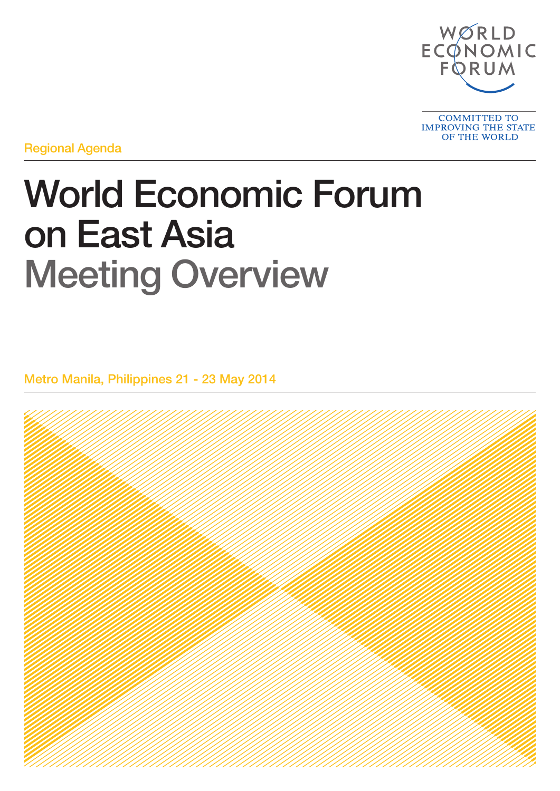

Regional Agenda

# World Economic Forum on East Asia Meeting Overview

Metro Manila, Philippines 21 - 23 May 2014

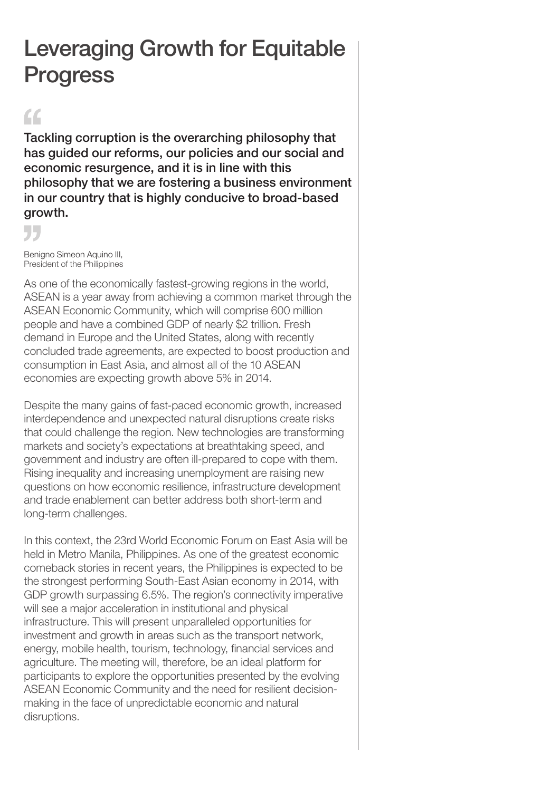## Leveraging Growth for Equitable Progress

### $\epsilon$

Tackling corruption is the overarching philosophy that has guided our reforms, our policies and our social and economic resurgence, and it is in line with this philosophy that we are fostering a business environment in our country that is highly conducive to broad-based growth.

55

Benigno Simeon Aquino III, President of the Philippines

As one of the economically fastest-growing regions in the world, ASEAN is a year away from achieving a common market through the ASEAN Economic Community, which will comprise 600 million people and have a combined GDP of nearly \$2 trillion. Fresh demand in Europe and the United States, along with recently concluded trade agreements, are expected to boost production and consumption in East Asia, and almost all of the 10 ASEAN economies are expecting growth above 5% in 2014.

Despite the many gains of fast-paced economic growth, increased interdependence and unexpected natural disruptions create risks that could challenge the region. New technologies are transforming markets and society's expectations at breathtaking speed, and government and industry are often ill-prepared to cope with them. Rising inequality and increasing unemployment are raising new questions on how economic resilience, infrastructure development and trade enablement can better address both short-term and long-term challenges.

In this context, the 23rd World Economic Forum on East Asia will be held in Metro Manila, Philippines. As one of the greatest economic comeback stories in recent years, the Philippines is expected to be the strongest performing South-East Asian economy in 2014, with GDP growth surpassing 6.5%. The region's connectivity imperative will see a major acceleration in institutional and physical infrastructure. This will present unparalleled opportunities for investment and growth in areas such as the transport network, energy, mobile health, tourism, technology, financial services and agriculture. The meeting will, therefore, be an ideal platform for participants to explore the opportunities presented by the evolving ASEAN Economic Community and the need for resilient decisionmaking in the face of unpredictable economic and natural disruptions.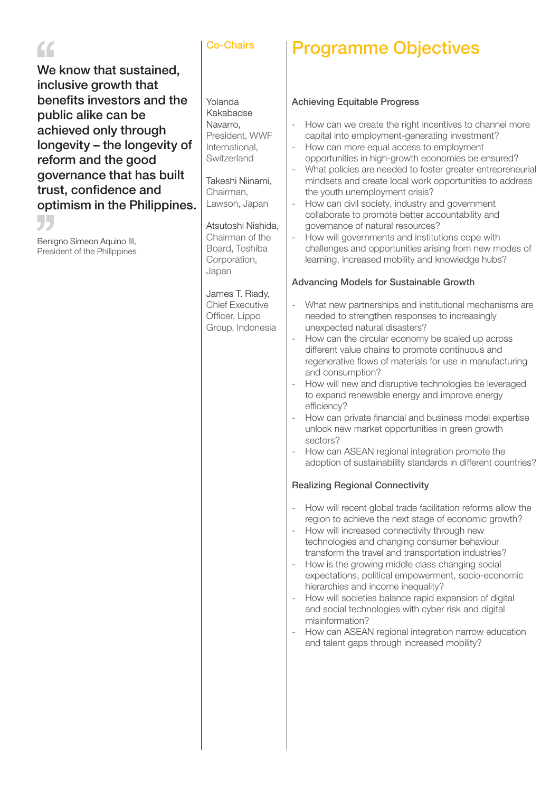### $\epsilon$

We know that sustained, inclusive growth that benefits investors and the public alike can be achieved only through longevity – the longevity of reform and the good governance that has built trust, confidence and optimism in the Philippines.

"

Benigno Simeon Aquino III, President of the Philippines

#### Co-Chairs

### Programme Objectives

### Achieving Equitable Progress

| Yolanda                                                                                                                                                                                                                           | <b>Achieving Equitable Progress</b>                                                                                                                                                                                                                                                                                                                                                                                                                                                                                                                                                                                                                                                                                                                                                                                                                                                         |  |  |  |
|-----------------------------------------------------------------------------------------------------------------------------------------------------------------------------------------------------------------------------------|---------------------------------------------------------------------------------------------------------------------------------------------------------------------------------------------------------------------------------------------------------------------------------------------------------------------------------------------------------------------------------------------------------------------------------------------------------------------------------------------------------------------------------------------------------------------------------------------------------------------------------------------------------------------------------------------------------------------------------------------------------------------------------------------------------------------------------------------------------------------------------------------|--|--|--|
| Kakabadse<br>Navarro,<br>President, WWF<br>International,<br>Switzerland<br>Takeshi Niinami,<br>Chairman,<br>Lawson, Japan<br>Atsutoshi Nishida,<br>Chairman of the<br>Board, Toshiba<br>Corporation,<br>Japan<br>James T. Riady, | How can we create the right incentives to channel more<br>$\overline{\phantom{0}}$<br>capital into employment-generating investment?<br>How can more equal access to employment<br>$\overline{\phantom{a}}$<br>opportunities in high-growth economies be ensured?<br>What policies are needed to foster greater entrepreneurial<br>$\overline{\phantom{0}}$<br>mindsets and create local work opportunities to address<br>the youth unemployment crisis?<br>How can civil society, industry and government<br>$\overline{\phantom{a}}$<br>collaborate to promote better accountability and<br>governance of natural resources?<br>How will governments and institutions cope with<br>$\overline{\phantom{a}}$<br>challenges and opportunities arising from new modes of<br>learning, increased mobility and knowledge hubs?<br><b>Advancing Models for Sustainable Growth</b>               |  |  |  |
| <b>Chief Executive</b><br>Officer, Lippo<br>Group, Indonesia                                                                                                                                                                      | What new partnerships and institutional mechanisms are<br>$\overline{\phantom{0}}$<br>needed to strengthen responses to increasingly<br>unexpected natural disasters?<br>How can the circular economy be scaled up across<br>$\overline{\phantom{a}}$<br>different value chains to promote continuous and<br>regenerative flows of materials for use in manufacturing<br>and consumption?<br>How will new and disruptive technologies be leveraged<br>$\overline{\phantom{a}}$<br>to expand renewable energy and improve energy<br>efficiency?<br>How can private financial and business model expertise<br>$\overline{\phantom{a}}$<br>unlock new market opportunities in green growth<br>sectors?<br>How can ASEAN regional integration promote the<br>$\overline{\phantom{a}}$<br>adoption of sustainability standards in different countries?<br><b>Realizing Regional Connectivity</b> |  |  |  |
|                                                                                                                                                                                                                                   | How will recent global trade facilitation reforms allow the<br>$\overline{\phantom{a}}$<br>region to achieve the next stage of economic growth?<br>How will increased connectivity through new<br>$\overline{\phantom{a}}$<br>technologies and changing consumer behaviour<br>transform the travel and transportation industries?<br>How is the growing middle class changing social<br>$\qquad \qquad -$<br>expectations, political empowerment, socio-economic<br>hierarchies and income inequality?<br>How will societies balance rapid expansion of digital<br>$\overline{\phantom{a}}$<br>and social technologies with cyber risk and digital<br>misinformation?<br>How can ASEAN regional integration narrow education<br>$\overline{\phantom{a}}$<br>and talent gaps through increased mobility?                                                                                     |  |  |  |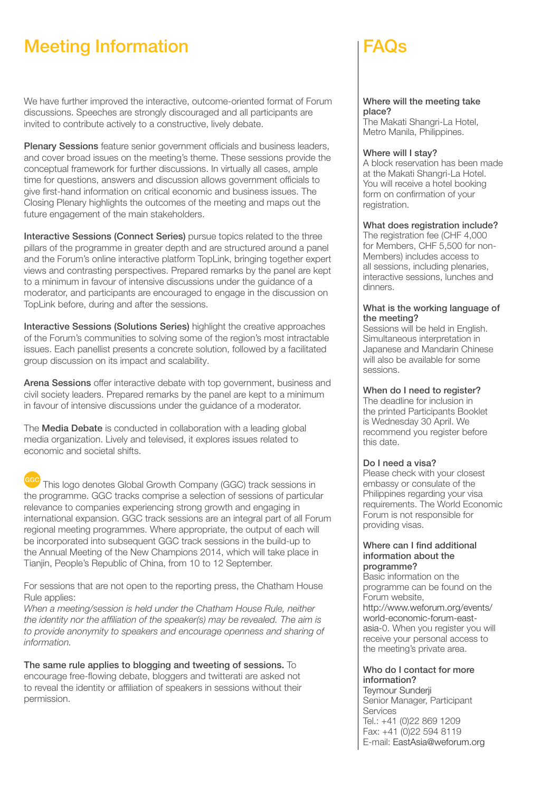### Meeting Information FAQs

We have further improved the interactive, outcome-oriented format of Forum discussions. Speeches are strongly discouraged and all participants are invited to contribute actively to a constructive, lively debate.

Plenary Sessions feature senior government officials and business leaders, and cover broad issues on the meeting's theme. These sessions provide the conceptual framework for further discussions. In virtually all cases, ample time for questions, answers and discussion allows government officials to give first-hand information on critical economic and business issues. The Closing Plenary highlights the outcomes of the meeting and maps out the future engagement of the main stakeholders.

Interactive Sessions (Connect Series) pursue topics related to the three pillars of the programme in greater depth and are structured around a panel and the Forum's online interactive platform TopLink, bringing together expert views and contrasting perspectives. Prepared remarks by the panel are kept to a minimum in favour of intensive discussions under the guidance of a moderator, and participants are encouraged to engage in the discussion on TopLink before, during and after the sessions.

Interactive Sessions (Solutions Series) highlight the creative approaches of the Forum's communities to solving some of the region's most intractable issues. Each panellist presents a concrete solution, followed by a facilitated group discussion on its impact and scalability.

Arena Sessions offer interactive debate with top government, business and civil society leaders. Prepared remarks by the panel are kept to a minimum in favour of intensive discussions under the guidance of a moderator.

The **Media Debate** is conducted in collaboration with a leading global media organization. Lively and televised, it explores issues related to economic and societal shifts.

This logo denotes Global Growth Company (GGC) track sessions in the programme. GGC tracks comprise a selection of sessions of particular relevance to companies experiencing strong growth and engaging in international expansion. GGC track sessions are an integral part of all Forum regional meeting programmes. Where appropriate, the output of each will be incorporated into subsequent GGC track sessions in the build-up to the Annual Meeting of the New Champions 2014, which will take place in Tianjin, People's Republic of China, from 10 to 12 September.

For sessions that are not open to the reporting press, the Chatham House Rule applies:

When a meeting/session is held under the Chatham House Rule, neither the identity nor the affiliation of the speaker(s) may be revealed. The aim is to provide anonymity to speakers and encourage openness and sharing of information.

The same rule applies to blogging and tweeting of sessions. To encourage free-flowing debate, bloggers and twitterati are asked not to reveal the identity or affiliation of speakers in sessions without their permission.

#### Where will the meeting take place?

The Makati Shangri-La Hotel, Metro Manila, Philippines.

#### Where will I stav?

A block reservation has been made at the Makati Shangri-La Hotel. You will receive a hotel booking form on confirmation of your registration.

#### What does registration include?

The registration fee (CHF 4,000 for Members, CHF 5,500 for non-Members) includes access to all sessions, including plenaries, interactive sessions, lunches and dinners.

#### What is the working language of the meeting?

Sessions will be held in English. Simultaneous interpretation in Japanese and Mandarin Chinese will also be available for some sessions.

#### When do I need to register?

The deadline for inclusion in the printed Participants Booklet is Wednesday 30 April. We recommend you register before this date.

#### Do I need a visa?

Please check with your closest embassy or consulate of the Philippines regarding your visa requirements. The World Economic Forum is not responsible for providing visas.

#### Where can I find additional information about the programme?

Basic information on the programme can be found on the Forum website, http://www.weforum.org/events/ world-economic-forum-eastasia-0. When you register you will receive your personal access to the meeting's private area.

#### Who do I contact for more information?

Teymour Sunderji Senior Manager, Participant **Services** Tel.: +41 (0)22 869 1209 Fax: +41 (0)22 594 8119 E-mail: EastAsia@weforum.org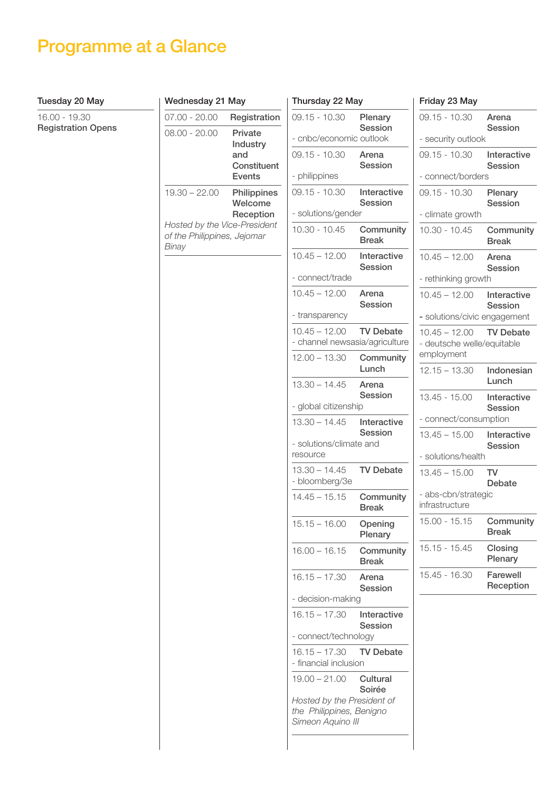### Programme at a Glance

#### Tuesday 20 May

16.00 - 19.30 Registration Opens

| Wednesday 21 May                                                                        |                                                            | Thursday 22 May                                                             |                           | Friday 23 May                      |  |
|-----------------------------------------------------------------------------------------|------------------------------------------------------------|-----------------------------------------------------------------------------|---------------------------|------------------------------------|--|
| $07.00 - 20.00$                                                                         | Registration                                               | $09.15 - 10.30$                                                             | Plenary<br><b>Session</b> | $09.15 - 10.30$                    |  |
| $08.00 - 20.00$                                                                         | Private<br>Industry<br>and<br>Constituent<br><b>Events</b> | - cnbc/economic outlook                                                     |                           | - security outloo                  |  |
|                                                                                         |                                                            | $09.15 - 10.30$                                                             | Arena<br>Session          | $09.15 - 10.30$                    |  |
|                                                                                         |                                                            | - philippines                                                               |                           | - connect/bord                     |  |
| $19.30 - 22.00$<br>Hosted by the Vice-President<br>of the Philippines, Jejomar<br>Binay | Philippines<br>Welcome<br>Reception                        | $09.15 - 10.30$                                                             | Interactive<br>Session    | $09.15 - 10.30$                    |  |
|                                                                                         |                                                            | - solutions/gender                                                          |                           | - climate growth                   |  |
|                                                                                         |                                                            | $10.30 - 10.45$                                                             | Community<br><b>Break</b> | $10.30 - 10.45$                    |  |
|                                                                                         |                                                            | $10.45 - 12.00$                                                             | Interactive<br>Session    | $10.45 - 12.00$                    |  |
|                                                                                         |                                                            | - connect/trade                                                             |                           | - rethinking grov                  |  |
|                                                                                         |                                                            | $10.45 - 12.00$                                                             | Arena<br>Session          | $10.45 - 12.00$                    |  |
|                                                                                         |                                                            | - transparency                                                              |                           | - solutions/civic                  |  |
|                                                                                         |                                                            | $10.45 - 12.00$<br>- channel newsasia/agriculture                           | <b>TV Debate</b>          | $10.45 - 12.00$<br>- deutsche well |  |
|                                                                                         |                                                            | $12.00 - 13.30$                                                             | Community<br>Lunch        | employment<br>$12.15 - 13.30$      |  |
|                                                                                         |                                                            | $13.30 - 14.45$                                                             | Arena                     |                                    |  |
|                                                                                         |                                                            | - global citizenship                                                        | Session                   | $13.45 - 15.00$                    |  |
|                                                                                         |                                                            | $13.30 - 14.45$                                                             | Interactive<br>Session    | - connect/cons                     |  |
|                                                                                         |                                                            | - solutions/climate and                                                     |                           | $13.45 - 15.00$                    |  |
|                                                                                         |                                                            | resource                                                                    |                           | - solutions/heal                   |  |
|                                                                                         |                                                            | $13.30 - 14.45$<br>- bloomberg/3e                                           | <b>TV Debate</b>          | $13.45 - 15.00$                    |  |
|                                                                                         |                                                            | $14.45 - 15.15$                                                             | Community<br><b>Break</b> | - abs-cbn/strate<br>infrastructure |  |
|                                                                                         |                                                            | $15.15 - 16.00$                                                             | Opening<br>Plenary        | $15.00 - 15.15$                    |  |
|                                                                                         |                                                            | $16.00 - 16.15$                                                             | Community<br><b>Break</b> | $15.15 - 15.45$                    |  |
|                                                                                         |                                                            | $16.15 - 17.30$                                                             | Arena<br>Session          | 15.45 - 16.30                      |  |
|                                                                                         |                                                            | - decision-making                                                           |                           |                                    |  |
|                                                                                         |                                                            | $16.15 - 17.30$                                                             | Interactive<br>Session    |                                    |  |
|                                                                                         |                                                            | - connect/technology                                                        |                           |                                    |  |
|                                                                                         |                                                            | $16.15 - 17.30$<br>- financial inclusion                                    | <b>TV Debate</b>          |                                    |  |
|                                                                                         |                                                            | $19.00 - 21.00$                                                             | Cultural<br>Soirée        |                                    |  |
|                                                                                         |                                                            | Hosted by the President of<br>the Philippines, Benigno<br>Simeon Aquino III |                           |                                    |  |

| 09.15 - 10.30                                               | Arena<br>Session           |
|-------------------------------------------------------------|----------------------------|
| - security outlook                                          |                            |
| 09.15 - 10.30                                               | Interactive<br>Session     |
| - connect/borders                                           |                            |
| 09.15 - 10.30                                               | Plenary<br>Session         |
| - climate growth                                            |                            |
| $10.30 - 10.45$                                             | Community<br><b>Break</b>  |
| $10.45 - 12.00$                                             | Arena<br>Session           |
| - rethinking growth                                         |                            |
| $10.45 - 12.00$                                             | Interactive<br>Session     |
| - solutions/civic engagement                                |                            |
| $10.45 - 12.00$<br>- deutsche welle/equitable<br>employment | <b>TV Debate</b>           |
| $12.15 - 13.30$                                             | Indonesian<br>Lunch        |
| $13.45 - 15.00$                                             | Interactive<br>Session     |
| - connect/consumption                                       |                            |
| $13.45 - 15.00$                                             | Interactive<br>Session     |
| - solutions/health                                          |                            |
| $13.45 - 15.00$                                             | <b>TV</b><br><b>Debate</b> |
| - abs-cbn/strategic<br>infrastructure                       |                            |
| 15.00 - 15.15                                               | Community<br>Break         |
| $15.15 - 15.45$                                             | Closing<br>Plenary         |
| 15.45 - 16.30                                               | Farewell<br>Reception      |